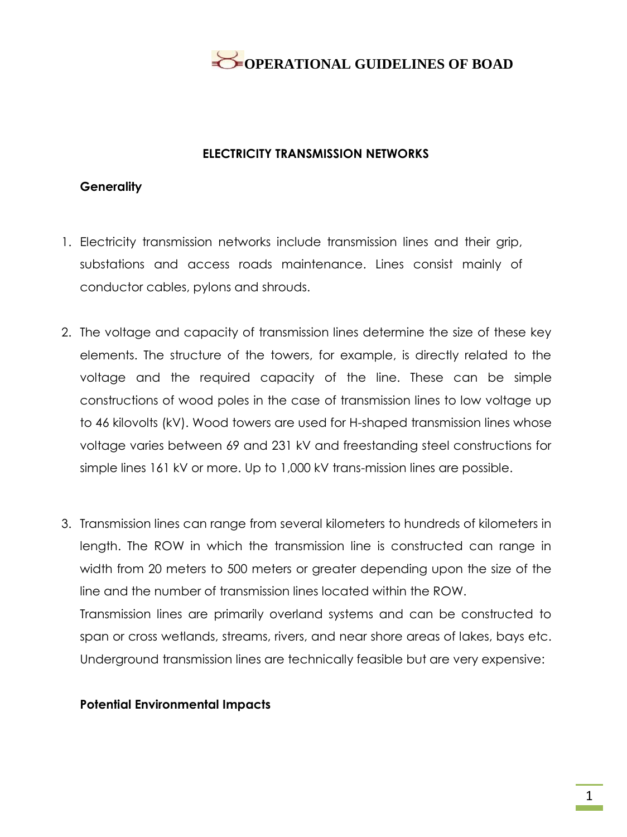

#### **ELECTRICITY TRANSMISSION NETWORKS**

#### **Generality**

- 1. Electricity transmission networks include transmission lines and their grip, substations and access roads maintenance. Lines consist mainly of conductor cables, pylons and shrouds.
- 2. The voltage and capacity of transmission lines determine the size of these key elements. The structure of the towers, for example, is directly related to the voltage and the required capacity of the line. These can be simple constructions of wood poles in the case of transmission lines to low voltage up to 46 kilovolts (kV). Wood towers are used for H-shaped transmission lines whose voltage varies between 69 and 231 kV and freestanding steel constructions for simple lines 161 kV or more. Up to 1,000 kV trans-mission lines are possible.
- 3. Transmission lines can range from several kilometers to hundreds of kilometers in length. The ROW in which the transmission line is constructed can range in width from 20 meters to 500 meters or greater depending upon the size of the line and the number of transmission lines located within the ROW. Transmission lines are primarily overland systems and can be constructed to span or cross wetlands, streams, rivers, and near shore areas of lakes, bays etc. Underground transmission lines are technically feasible but are very expensive:

#### **Potential Environmental Impacts**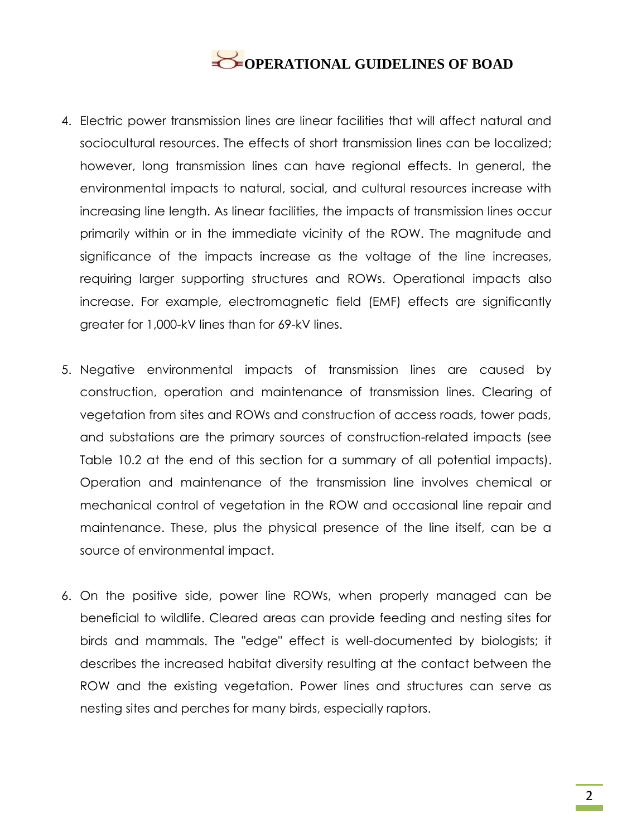- 4. Electric power transmission lines are linear facilities that will affect natural and sociocultural resources. The effects of short transmission lines can be localized; however, long transmission lines can have regional effects. In general, the environmental impacts to natural, social, and cultural resources increase with increasing line length. As linear facilities, the impacts of transmission lines occur primarily within or in the immediate vicinity of the ROW. The magnitude and significance of the impacts increase as the voltage of the line increases, requiring larger supporting structures and ROWs. Operational impacts also increase. For example, electromagnetic field (EMF) effects are significantly greater for 1,000-kV lines than for 69-kV lines.
- 5. Negative environmental impacts of transmission lines are caused by construction, operation and maintenance of transmission lines. Clearing of vegetation from sites and ROWs and construction of access roads, tower pads, and substations are the primary sources of construction-related impacts (see Table 10.2 at the end of this section for a summary of all potential impacts). Operation and maintenance of the transmission line involves chemical or mechanical control of vegetation in the ROW and occasional line repair and maintenance. These, plus the physical presence of the line itself, can be a source of environmental impact.
- 6. On the positive side, power line ROWs, when properly managed can be beneficial to wildlife. Cleared areas can provide feeding and nesting sites for birds and mammals. The "edge" effect is well-documented by biologists; it describes the increased habitat diversity resulting at the contact between the ROW and the existing vegetation. Power lines and structures can serve as nesting sites and perches for many birds, especially raptors.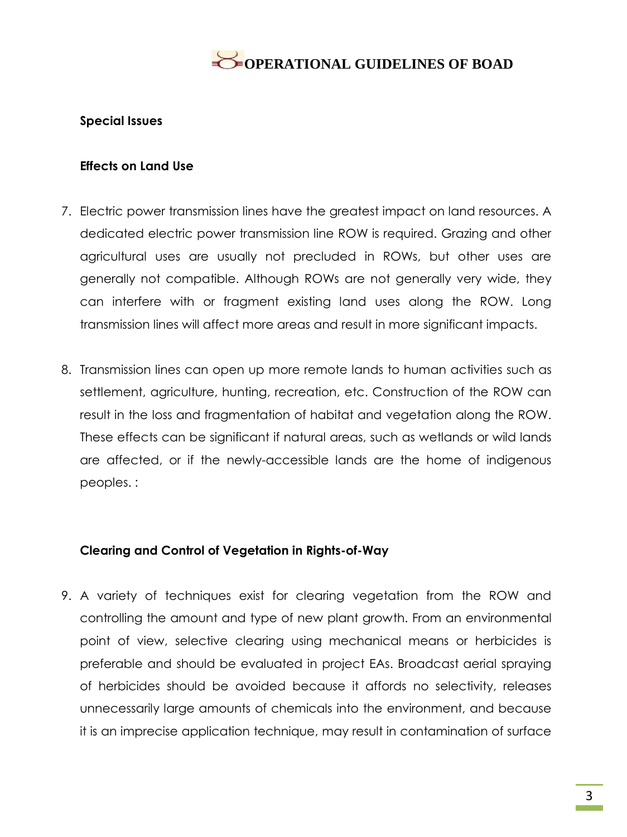#### **Special Issues**

#### **Effects on Land Use**

- 7. Electric power transmission lines have the greatest impact on land resources. A dedicated electric power transmission line ROW is required. Grazing and other agricultural uses are usually not precluded in ROWs, but other uses are generally not compatible. Although ROWs are not generally very wide, they can interfere with or fragment existing land uses along the ROW. Long transmission lines will affect more areas and result in more significant impacts.
- 8. Transmission lines can open up more remote lands to human activities such as settlement, agriculture, hunting, recreation, etc. Construction of the ROW can result in the loss and fragmentation of habitat and vegetation along the ROW. These effects can be significant if natural areas, such as wetlands or wild lands are affected, or if the newly-accessible lands are the home of indigenous peoples. :

#### **Clearing and Control of Vegetation in Rights-of-Way**

9. A variety of techniques exist for clearing vegetation from the ROW and controlling the amount and type of new plant growth. From an environmental point of view, selective clearing using mechanical means or herbicides is preferable and should be evaluated in project EAs. Broadcast aerial spraying of herbicides should be avoided because it affords no selectivity, releases unnecessarily large amounts of chemicals into the environment, and because it is an imprecise application technique, may result in contamination of surface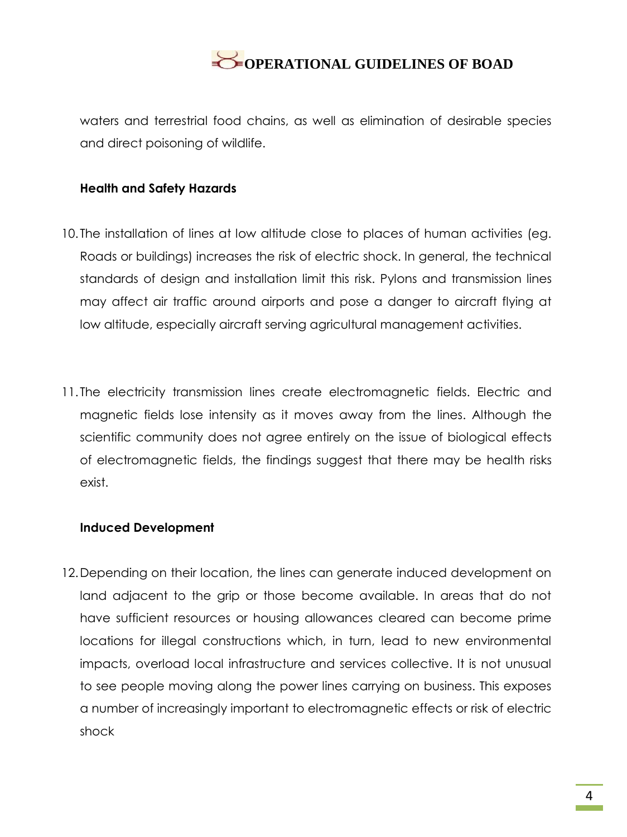waters and terrestrial food chains, as well as elimination of desirable species and direct poisoning of wildlife.

#### **Health and Safety Hazards**

- 10. The installation of lines at low altitude close to places of human activities (eg. Roads or buildings) increases the risk of electric shock. In general, the technical standards of design and installation limit this risk. Pylons and transmission lines may affect air traffic around airports and pose a danger to aircraft flying at low altitude, especially aircraft serving agricultural management activities.
- 11. The electricity transmission lines create electromagnetic fields. Electric and magnetic fields lose intensity as it moves away from the lines. Although the scientific community does not agree entirely on the issue of biological effects of electromagnetic fields, the findings suggest that there may be health risks exist.

#### **Induced Development**

12.Depending on their location, the lines can generate induced development on land adjacent to the grip or those become available. In areas that do not have sufficient resources or housing allowances cleared can become prime locations for illegal constructions which, in turn, lead to new environmental impacts, overload local infrastructure and services collective. It is not unusual to see people moving along the power lines carrying on business. This exposes a number of increasingly important to electromagnetic effects or risk of electric shock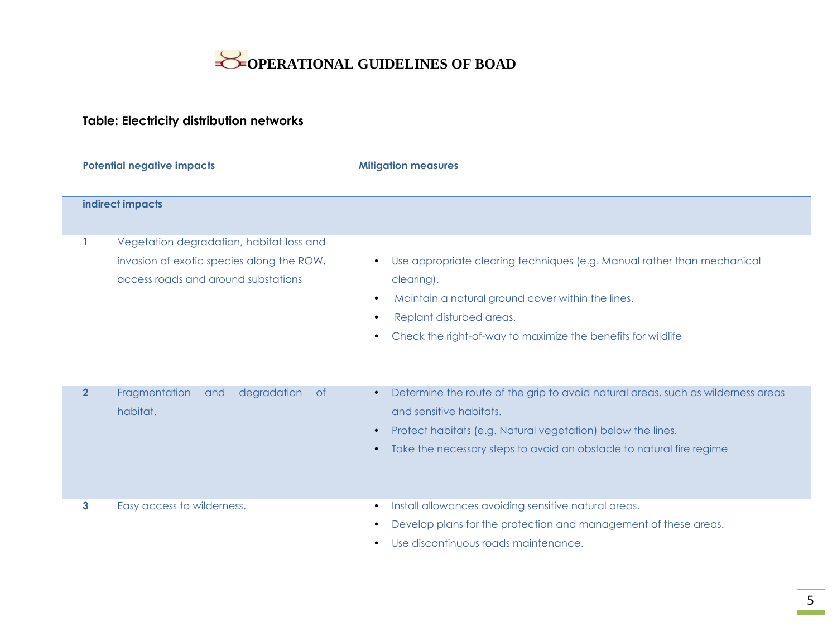

### **Table: Electricity distribution networks**

| <b>Potential negative impacts</b> |                                                                                                                              | <b>Mitigation measures</b>                                                                                                                                                                                                                                                                 |  |  |  |  |  |
|-----------------------------------|------------------------------------------------------------------------------------------------------------------------------|--------------------------------------------------------------------------------------------------------------------------------------------------------------------------------------------------------------------------------------------------------------------------------------------|--|--|--|--|--|
|                                   | indirect impacts                                                                                                             |                                                                                                                                                                                                                                                                                            |  |  |  |  |  |
| $\mathbf{1}$                      | Vegetation degradation, habitat loss and<br>invasion of exotic species along the ROW,<br>access roads and around substations | Use appropriate clearing techniques (e.g. Manual rather than mechanical<br>$\bullet$<br>clearing).<br>Maintain a natural ground cover within the lines.<br>$\bullet$<br>Replant disturbed areas.<br>$\bullet$<br>Check the right-of-way to maximize the benefits for wildlife<br>$\bullet$ |  |  |  |  |  |
| $\overline{2}$                    | Fragmentation<br>degradation<br><b>of</b><br>and<br>habitat.                                                                 | Determine the route of the grip to avoid natural areas, such as wilderness areas<br>$\bullet$<br>and sensitive habitats.<br>Protect habitats (e.g. Natural vegetation) below the lines.<br>$\bullet$<br>Take the necessary steps to avoid an obstacle to natural fire regime<br>$\bullet$  |  |  |  |  |  |
| 3                                 | Easy access to wilderness.                                                                                                   | Install allowances avoiding sensitive natural areas.<br>$\bullet$<br>Develop plans for the protection and management of these areas.<br>Use discontinuous roads maintenance.<br>$\bullet$                                                                                                  |  |  |  |  |  |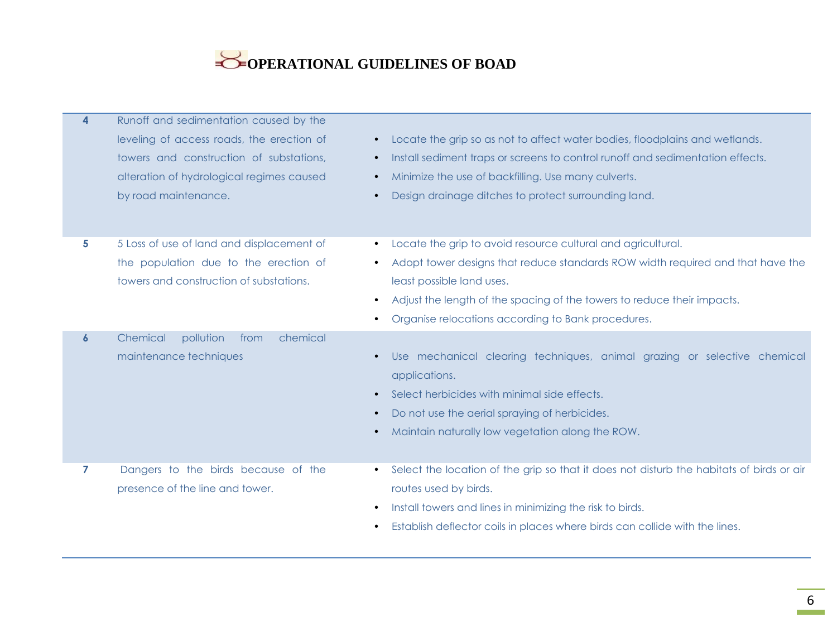| $\overline{\mathbf{4}}$ | Runoff and sedimentation caused by the<br>leveling of access roads, the erection of<br>towers and construction of substations,<br>alteration of hydrological regimes caused<br>by road maintenance. | Locate the grip so as not to affect water bodies, floodplains and wetlands.<br>$\bullet$<br>Install sediment traps or screens to control runoff and sedimentation effects.<br>$\bullet$<br>Minimize the use of backfilling. Use many culverts.<br>Design drainage ditches to protect surrounding land.                    |
|-------------------------|-----------------------------------------------------------------------------------------------------------------------------------------------------------------------------------------------------|---------------------------------------------------------------------------------------------------------------------------------------------------------------------------------------------------------------------------------------------------------------------------------------------------------------------------|
| 5                       | 5 Loss of use of land and displacement of<br>the population due to the erection of<br>towers and construction of substations.                                                                       | Locate the grip to avoid resource cultural and agricultural.<br>$\bullet$<br>Adopt tower designs that reduce standards ROW width required and that have the<br>least possible land uses.<br>Adjust the length of the spacing of the towers to reduce their impacts.<br>Organise relocations according to Bank procedures. |
| $\boldsymbol{6}$        | Chemical<br>pollution<br>from<br>chemical<br>maintenance techniques                                                                                                                                 | Use mechanical clearing techniques, animal grazing or selective chemical<br>applications.<br>Select herbicides with minimal side effects.<br>Do not use the aerial spraying of herbicides.<br>$\bullet$<br>Maintain naturally low vegetation along the ROW.                                                               |
| 7                       | Dangers to the birds because of the<br>presence of the line and tower.                                                                                                                              | Select the location of the grip so that it does not disturb the habitats of birds or air<br>routes used by birds.<br>Install towers and lines in minimizing the risk to birds.<br>Establish deflector coils in places where birds can collide with the lines.<br>$\bullet$                                                |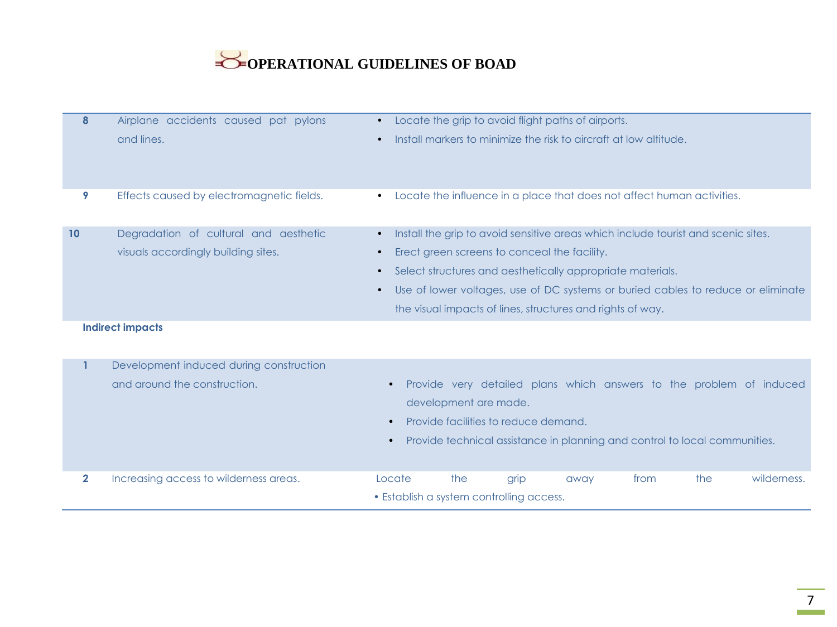| 8            | Airplane accidents caused pat pylons<br>and lines. | $\bullet$<br>$\bullet$                                                                        |     |      | Locate the grip to avoid flight paths of airports.<br>Install markers to minimize the risk to aircraft at low altitude. |      |     |             |
|--------------|----------------------------------------------------|-----------------------------------------------------------------------------------------------|-----|------|-------------------------------------------------------------------------------------------------------------------------|------|-----|-------------|
|              |                                                    |                                                                                               |     |      |                                                                                                                         |      |     |             |
| 9            | Effects caused by electromagnetic fields.          | $\bullet$                                                                                     |     |      | Locate the influence in a place that does not affect human activities.                                                  |      |     |             |
| 10           | Degradation of cultural and aesthetic              | $\bullet$                                                                                     |     |      | Install the grip to avoid sensitive areas which include tourist and scenic sites.                                       |      |     |             |
|              | visuals accordingly building sites.                | Erect green screens to conceal the facility.<br>$\bullet$                                     |     |      |                                                                                                                         |      |     |             |
|              |                                                    | Select structures and aesthetically appropriate materials.<br>$\bullet$                       |     |      |                                                                                                                         |      |     |             |
|              |                                                    | Use of lower voltages, use of DC systems or buried cables to reduce or eliminate<br>$\bullet$ |     |      |                                                                                                                         |      |     |             |
|              |                                                    |                                                                                               |     |      | the visual impacts of lines, structures and rights of way.                                                              |      |     |             |
|              | <b>Indirect impacts</b>                            |                                                                                               |     |      |                                                                                                                         |      |     |             |
| 1            | Development induced during construction            |                                                                                               |     |      |                                                                                                                         |      |     |             |
|              | and around the construction.                       | Provide very detailed plans which answers to the problem of induced                           |     |      |                                                                                                                         |      |     |             |
|              |                                                    | development are made.                                                                         |     |      |                                                                                                                         |      |     |             |
|              |                                                    | Provide facilities to reduce demand.                                                          |     |      |                                                                                                                         |      |     |             |
|              |                                                    | Provide technical assistance in planning and control to local communities.                    |     |      |                                                                                                                         |      |     |             |
| $\mathbf{2}$ | Increasing access to wilderness areas.             | Locate                                                                                        | the | grip | away                                                                                                                    | from | the | wilderness. |
|              |                                                    | • Establish a system controlling access.                                                      |     |      |                                                                                                                         |      |     |             |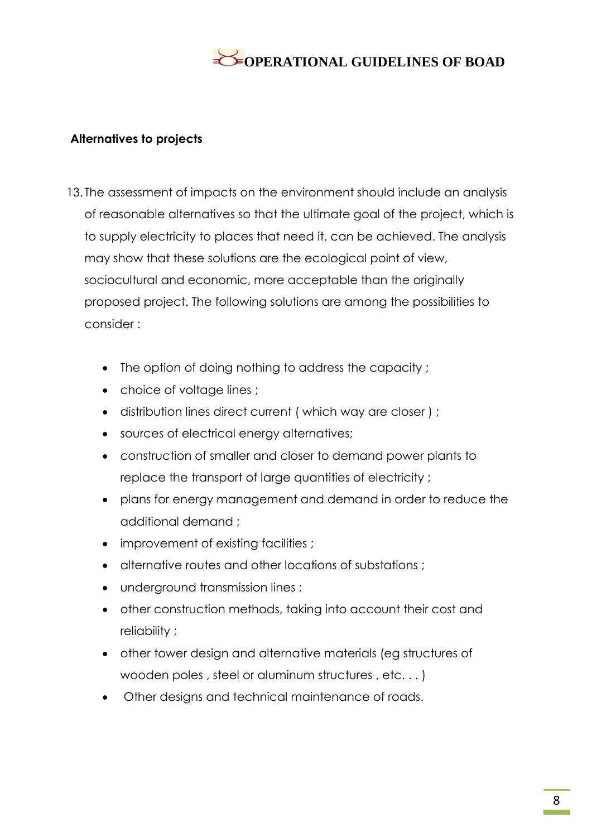#### **Alternatives to projects**

- 13. The assessment of impacts on the environment should include an analysis of reasonable alternatives so that the ultimate goal of the project, which is to supply electricity to places that need it, can be achieved. The analysis may show that these solutions are the ecological point of view, sociocultural and economic, more acceptable than the originally proposed project. The following solutions are among the possibilities to consider :
	- The option of doing nothing to address the capacity;
	- choice of voltage lines ;
	- distribution lines direct current ( which way are closer ) ;
	- sources of electrical energy alternatives;
	- construction of smaller and closer to demand power plants to replace the transport of large quantities of electricity ;
	- plans for energy management and demand in order to reduce the additional demand ;
	- improvement of existing facilities ;
	- alternative routes and other locations of substations ;
	- underground transmission lines ;
	- other construction methods, taking into account their cost and reliability ;
	- other tower design and alternative materials (eg structures of wooden poles , steel or aluminum structures , etc. . . )
	- Other designs and technical maintenance of roads.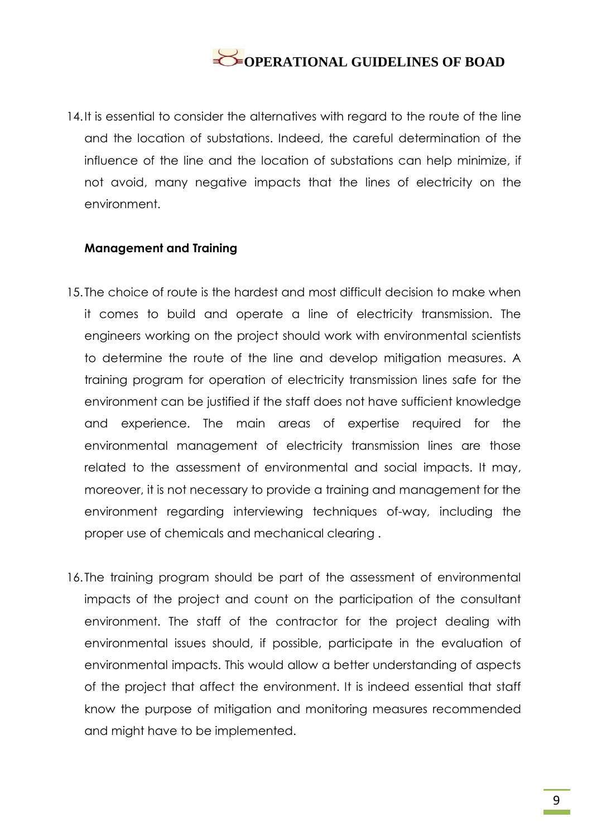14. It is essential to consider the alternatives with regard to the route of the line and the location of substations. Indeed, the careful determination of the influence of the line and the location of substations can help minimize, if not avoid, many negative impacts that the lines of electricity on the environment.

#### **Management and Training**

- 15. The choice of route is the hardest and most difficult decision to make when it comes to build and operate a line of electricity transmission. The engineers working on the project should work with environmental scientists to determine the route of the line and develop mitigation measures. A training program for operation of electricity transmission lines safe for the environment can be justified if the staff does not have sufficient knowledge and experience. The main areas of expertise required for the environmental management of electricity transmission lines are those related to the assessment of environmental and social impacts. It may, moreover, it is not necessary to provide a training and management for the environment regarding interviewing techniques of-way, including the proper use of chemicals and mechanical clearing .
- 16. The training program should be part of the assessment of environmental impacts of the project and count on the participation of the consultant environment. The staff of the contractor for the project dealing with environmental issues should, if possible, participate in the evaluation of environmental impacts. This would allow a better understanding of aspects of the project that affect the environment. It is indeed essential that staff know the purpose of mitigation and monitoring measures recommended and might have to be implemented.